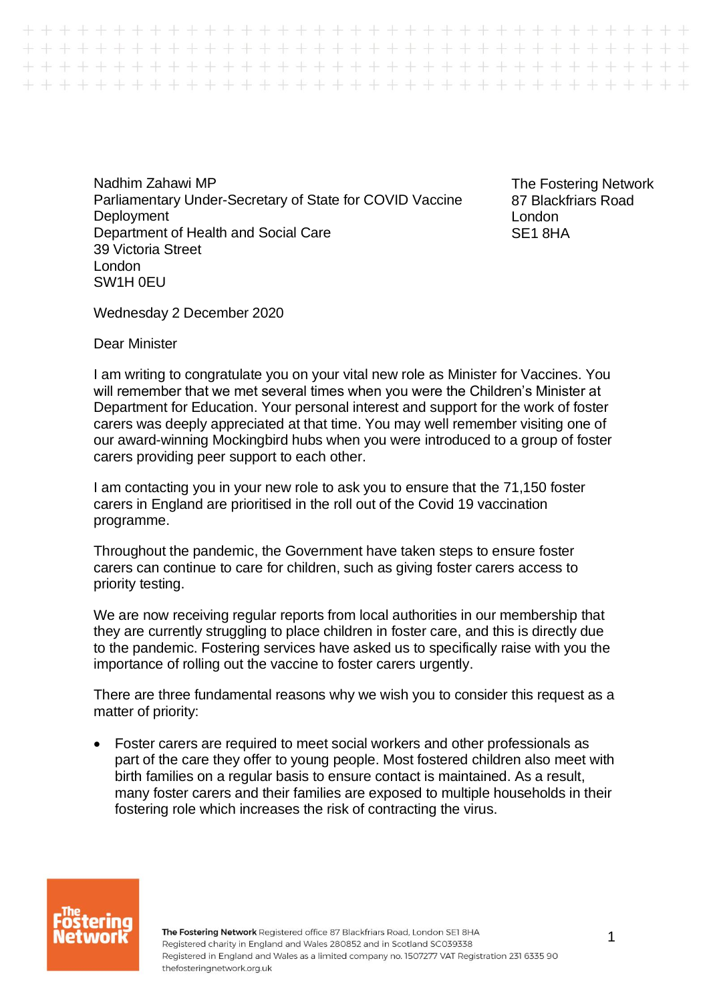Nadhim Zahawi MP Parliamentary Under-Secretary of State for COVID Vaccine **Deployment** Department of Health and Social Care 39 Victoria Street London SW1H 0EU

++++++++++++++++ 

> The Fostering Network 87 Blackfriars Road London SE1 8HA

Wednesday 2 December 2020

Dear Minister

I am writing to congratulate you on your vital new role as Minister for Vaccines. You will remember that we met several times when you were the Children's Minister at Department for Education. Your personal interest and support for the work of foster carers was deeply appreciated at that time. You may well remember visiting one of our award-winning Mockingbird hubs when you were introduced to a group of foster carers providing peer support to each other.

I am contacting you in your new role to ask you to ensure that the 71,150 foster carers in England are prioritised in the roll out of the Covid 19 vaccination programme.

Throughout the pandemic, the Government have taken steps to ensure foster carers can continue to care for children, such as giving foster carers access to priority testing.

We are now receiving regular reports from local authorities in our membership that they are currently struggling to place children in foster care, and this is directly due to the pandemic. Fostering services have asked us to specifically raise with you the importance of rolling out the vaccine to foster carers urgently.

There are three fundamental reasons why we wish you to consider this request as a matter of priority:

• Foster carers are required to meet social workers and other professionals as part of the care they offer to young people. Most fostered children also meet with birth families on a regular basis to ensure contact is maintained. As a result, many foster carers and their families are exposed to multiple households in their fostering role which increases the risk of contracting the virus.